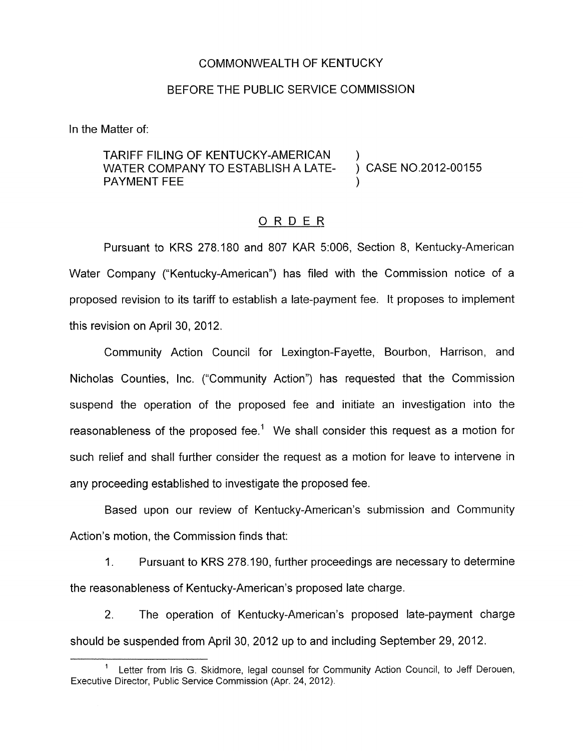## COMMONWEALTH OF KENTUCKY

## BEFORE THE PUBLIC SERVICE COMMISSION

In the Matter of:

## TARIFF FILING OF KENTUCKY-AMERICAN WATER COMPANY TO ESTABLISH A LATE-PAYMENT FEE ) ) CASE N0.2012-00155

## ORDER

Pursuant to KRS 278.180 and 807 KAR 5:006, Section 8, Kentucky-American Water Company ("Kentucky-American") has filed with the Commission notice of a proposed revision to its tariff to establish a late-payment fee. It proposes to implement this revision on April 30, 2012.

Community Action Council for Lexington-Fayette, Bourbon, Harrison, and Nicholas Counties, Inc. ("Community Action") has requested that the Commission suspend the operation of the proposed fee and initiate an investigation into the reasonableness of the proposed fee.' We shall consider this request as a motion for such relief and shall further consider the request as a motion for leave to intervene in any proceeding established to investigate the proposed fee.

Based upon our review of Kentucky-American's submission and Community Action's motion, the Commission finds that:

1. Pursuant to KRS 278.190, further proceedings are necessary to determine the reasonableness of Kentucky-American's proposed late charge.

2. The operation of Kentucky-American's proposed late-payment charge should be suspended from April 30, 2012 up to and including September 29, 2012.

Letter from Iris G. Skidmore, legal counsel for Community Action Council, to Jeff Derouen, **<sup>1</sup>** Executive Director, Public Service Commission (Apr. 24, 2012).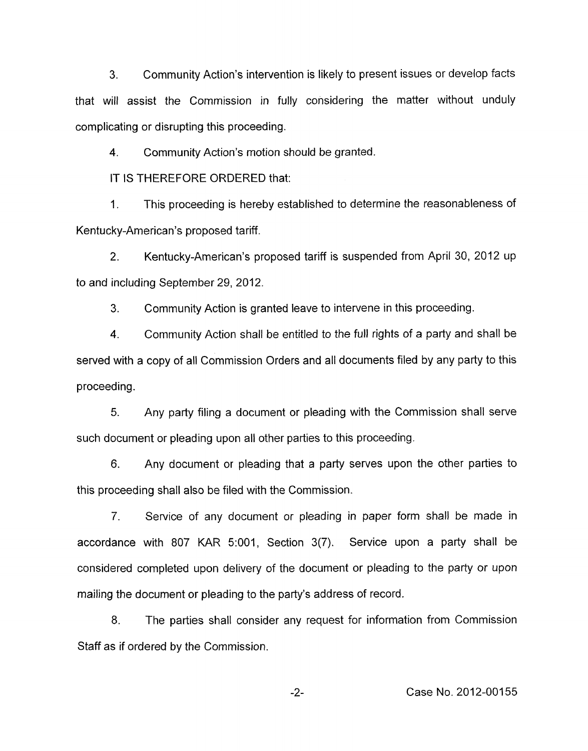**3.** Community Action's intervention is likely to present issues or develop facts that will assist the Commission in fully considering the matter without unduly complicating or disrupting this proceeding.

**4.**  Community Action's motion should be granted.

IT IS THEREFORE ORDERED that:

1. This proceeding is hereby established to determine the reasonableness of Kentucky-American's proposed tariff **<sup>I</sup>**

2. Kentucky-American's proposed tariff is suspended from April 30, 2012 up to and including September 29, 2012.

**3.**  Community Action is granted leave to intervene in this proceeding.

**4.**  Community Action shall be entitled to the full rights of a party and shall be served with a copy of all Commission Orders and all documents filed by any party to this proceeding.

*5.* Any party filing a document or pleading with the Commission shall serve such document or pleading upon all other parties to this proceeding.

*6.* Any document or pleading that a party serves upon the other parties to this proceeding shall also be filed with the Commission.

7. Service of any document or pleading in paper form shall be made in accordance with 807 KAR 5:001, Section 3(7). Service upon a party shall be considered completed upon delivery of the document or pleading to the party or upon mailing the document or pleading to the party's address of record.

8. The parties shall consider any request for information from Commission Staff as if ordered by the Commission.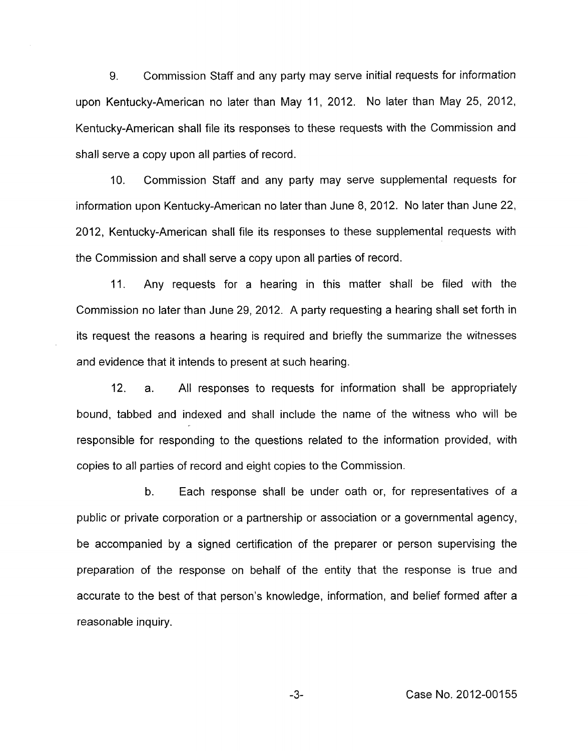9. Commission Staff and any party may serve initial requests for information upon Kentucky-American no later than May 11, 2012. No later than May 25, 2012, Kentucky-American shall file its responses to these requests with the Commission and shall serve a copy upon all parties of record.

IO. Commission Staff and any party may serve supplemental requests for information upon Kentucky-American no later than June 8, 2012. No later than June 22, 2012, Kentucky-American shall file its responses to these supplemental requests with the Commission and shall serve a copy upon all parties of record.

11. Any requests for a hearing in this matter shall be filed with the Commission no later than June 29, 2012. A party requesting a hearing shall set forth in its request the reasons a hearing is required and briefly the summarize the witnesses and evidence that it intends to present at such hearing.

12. a. All responses to requests for information shall be appropriately bound, tabbed and indexed and shall include the name of the witness who will be responsible for responding to the questions related to the information provided, with copies to all parties of record and eight copies to the Commission.

b. Each response shall be under oath or, for representatives of a public or private corporation or a partnership or association or a governmental agency, be accompanied by a signed certification of the preparer or person supervising the preparation of the response on behalf of the entity that the response is true and accurate to the best of that person's knowledge, information, and belief formed after a reasonable inquiry.

**-3-** Case No. 2012-00155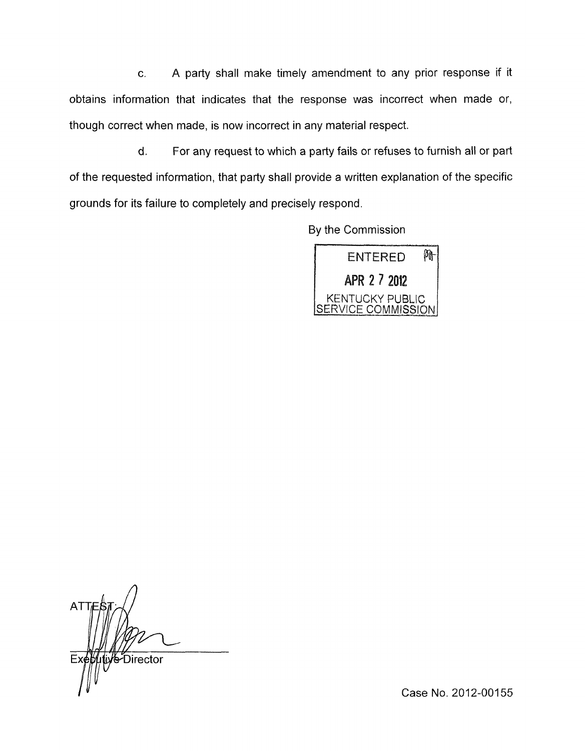c. A party shall make timely amendment to any prior response if it obtains information that indicates that the response was incorrect when made or, though correct when made, is now incorrect in any material respect.

d. For any request to which a party fails or refuses to furnish all or part of the requested information, that party shall provide a written explanation of the specific grounds for its failure to completely and precisely respond.

By the Commission



 $AT$ Director

Case No. 2012-00155